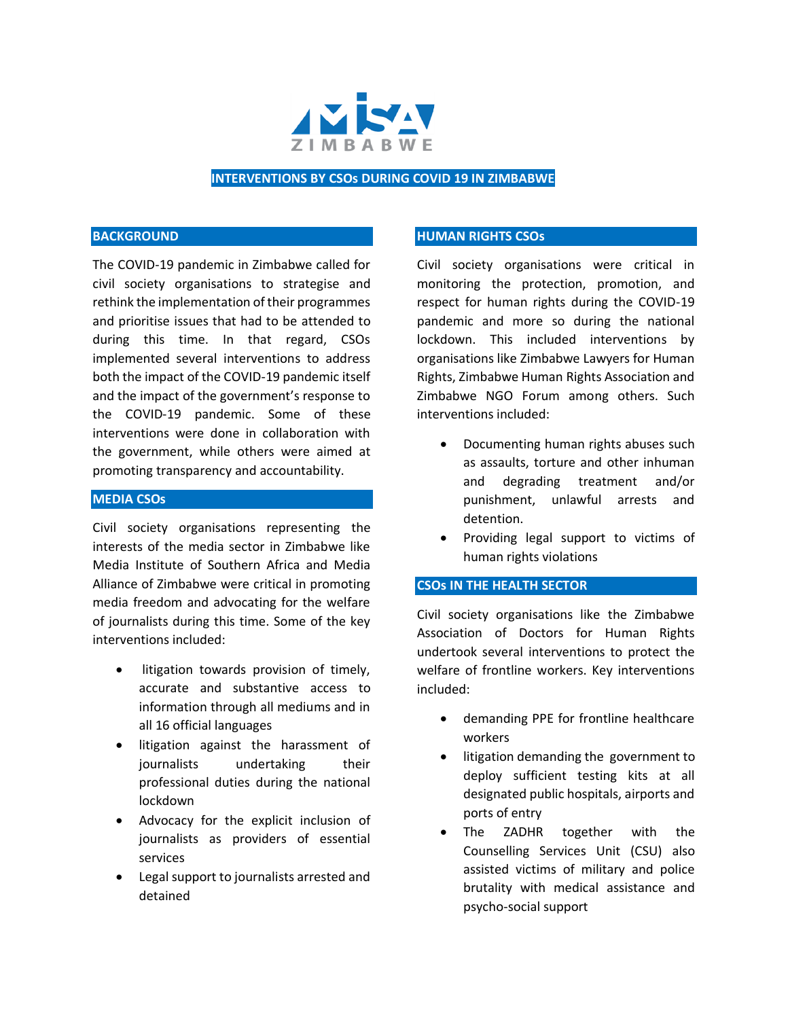

## **INTERVENTIONS BY CSOs DURING COVID 19 IN ZIMBABWE**

#### **BACKGROUND**

The COVID-19 pandemic in Zimbabwe called for civil society organisations to strategise and rethink the implementation of their programmes and prioritise issues that had to be attended to during this time. In that regard, CSOs implemented several interventions to address both the impact of the COVID-19 pandemic itself and the impact of the government's response to the COVID-19 pandemic. Some of these interventions were done in collaboration with the government, while others were aimed at promoting transparency and accountability.

### **MEDIA CSOs**

Civil society organisations representing the interests of the media sector in Zimbabwe like Media Institute of Southern Africa and Media Alliance of Zimbabwe were critical in promoting media freedom and advocating for the welfare of journalists during this time. Some of the key interventions included:

- litigation towards provision of timely, accurate and substantive access to information through all mediums and in all 16 official languages
- litigation against the harassment of journalists undertaking their professional duties during the national lockdown
- Advocacy for the explicit inclusion of journalists as providers of essential services
- Legal support to journalists arrested and detained

#### **HUMAN RIGHTS CSOs**

Civil society organisations were critical in monitoring the protection, promotion, and respect for human rights during the COVID-19 pandemic and more so during the national lockdown. This included interventions by organisations like Zimbabwe Lawyers for Human Rights, Zimbabwe Human Rights Association and Zimbabwe NGO Forum among others. Such interventions included:

- Documenting human rights abuses such as assaults, torture and other inhuman and degrading treatment and/or punishment, unlawful arrests and detention.
- Providing legal support to victims of human rights violations

## **CSOs IN THE HEALTH SECTOR**

Civil society organisations like the Zimbabwe Association of Doctors for Human Rights undertook several interventions to protect the welfare of frontline workers. Key interventions included:

- demanding PPE for frontline healthcare workers
- litigation demanding the government to deploy sufficient testing kits at all designated public hospitals, airports and ports of entry
- The ZADHR together with the Counselling Services Unit (CSU) also assisted victims of military and police brutality with medical assistance and psycho-social support